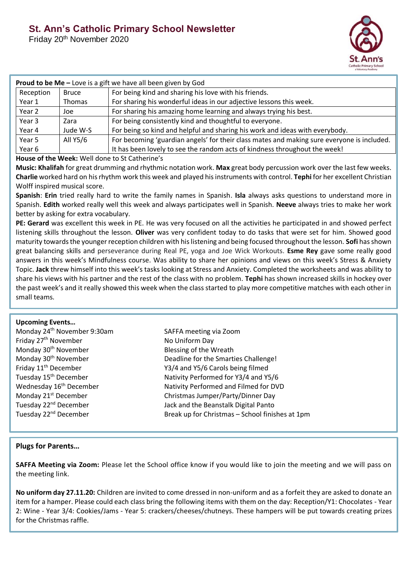Friday 20th November 2020



| <b>Proud to be Me - Love is a gift we have all been given by God</b> |              |                                                                                            |
|----------------------------------------------------------------------|--------------|--------------------------------------------------------------------------------------------|
| Reception                                                            | <b>Bruce</b> | For being kind and sharing his love with his friends.                                      |
| Year 1                                                               | Thomas       | For sharing his wonderful ideas in our adjective lessons this week.                        |
| Year 2                                                               | Joe          | For sharing his amazing home learning and always trying his best.                          |
| Year 3                                                               | Zara         | For being consistently kind and thoughtful to everyone.                                    |
| Year 4                                                               | Jude W-S     | For being so kind and helpful and sharing his work and ideas with everybody.               |
| Year 5                                                               | All Y5/6     | For becoming 'guardian angels' for their class mates and making sure everyone is included. |
| Year 6                                                               |              | It has been lovely to see the random acts of kindness throughout the week!                 |

# **House of the Week:** Well done to St Catherine's

**Music: Khalifah** for great drumming and rhythmic notation work. **Max** great body percussion work over the last few weeks. **Charlie** worked hard on his rhythm work this week and played his instruments with control. **Tephi** for her excellent Christian Wolff inspired musical score.

**Spanish**: **Erin** tried really hard to write the family names in Spanish. **Isla** always asks questions to understand more in Spanish. **Edith** worked really well this week and always participates well in Spanish. **Neeve** always tries to make her work better by asking for extra vocabulary.

**PE: Gerard** was excellent this week in PE. He was very focused on all the activities he participated in and showed perfect listening skills throughout the lesson. **Oliver** was very confident today to do tasks that were set for him. Showed good maturity towards the younger reception children with his listening and being focused throughout the lesson. **Sofi** has shown great balancing skills and perseverance during Real PE, yoga and Joe Wick Workouts. **Esme Rey** gave some really good answers in this week's Mindfulness course. Was ability to share her opinions and views on this week's Stress & Anxiety Topic. **Jack** threw himself into this week's tasks looking at Stress and Anxiety. Completed the worksheets and was ability to share his views with his partner and the rest of the class with no problem. **Tephi** has shown increased skills in hockey over the past week's and it really showed this week when the class started to play more competitive matches with each other in small teams.

## **Upcoming Events…**

| SAFFA meeting via Zoom                          |
|-------------------------------------------------|
| No Uniform Day                                  |
| Blessing of the Wreath                          |
| Deadline for the Smarties Challenge!            |
| Y3/4 and Y5/6 Carols being filmed               |
| Nativity Performed for Y3/4 and Y5/6            |
| Nativity Performed and Filmed for DVD           |
| Christmas Jumper/Party/Dinner Day               |
| Jack and the Beanstalk Digital Panto            |
| Break up for Christmas - School finishes at 1pm |
|                                                 |

# **Plugs for Parents…**

**SAFFA Meeting via Zoom:** Please let the School office know if you would like to join the meeting and we will pass on the meeting link.

**No uniform day 27.11.20:** Children are invited to come dressed in non-uniform and as a forfeit they are asked to donate an item for a hamper. Please could each class bring the following items with them on the day: Reception/Y1: Chocolates - Year 2: Wine - Year 3/4: Cookies/Jams - Year 5: crackers/cheeses/chutneys. These hampers will be put towards creating prizes for the Christmas raffle.